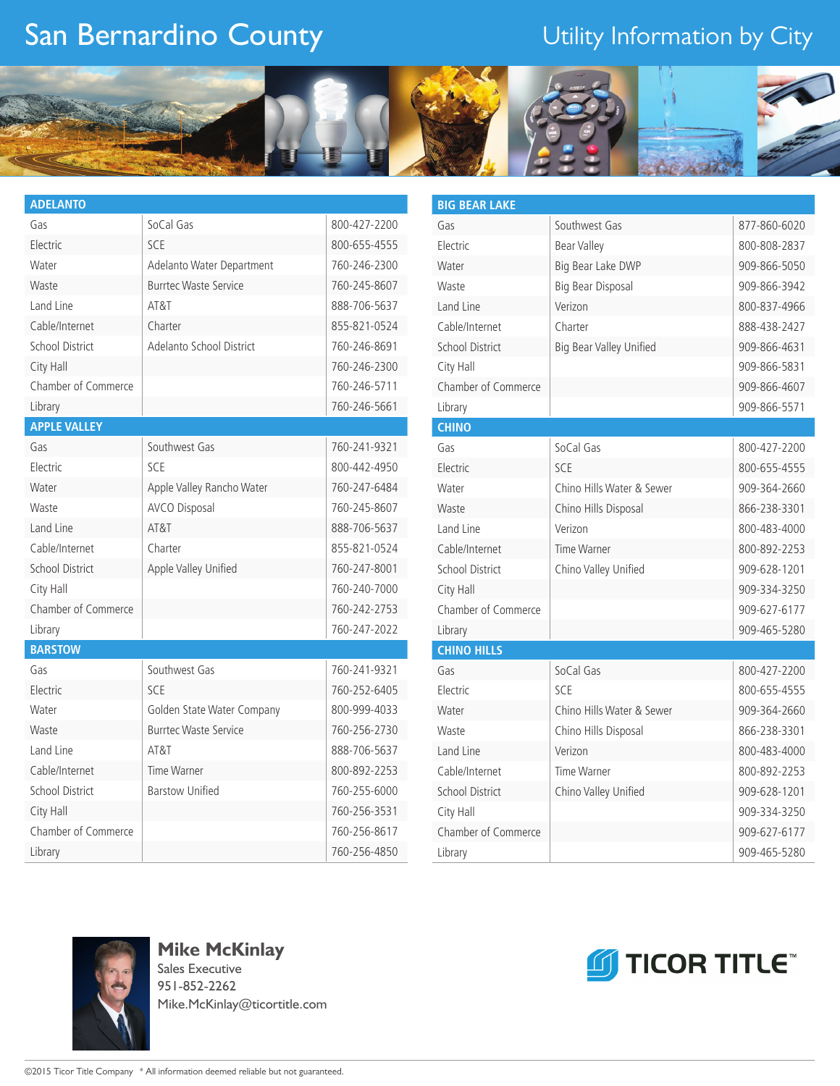# San Bernardino County **Example 2018** Utility Information by City



| <b>ADELANTO</b>        |                              |              |
|------------------------|------------------------------|--------------|
| Gas                    | SoCal Gas                    | 800-427-2200 |
| Electric               | SCE                          | 800-655-4555 |
| Water                  | Adelanto Water Department    | 760-246-2300 |
| Waste                  | <b>Burrtec Waste Service</b> | 760-245-8607 |
| Land Line              | AT&T                         | 888-706-5637 |
| Cable/Internet         | Charter                      | 855-821-0524 |
| School District        | Adelanto School District     | 760-246-8691 |
| City Hall              |                              | 760-246-2300 |
| Chamber of Commerce    |                              | 760-246-5711 |
| Library                |                              | 760-246-5661 |
| <b>APPLE VALLEY</b>    |                              |              |
| Gas                    | Southwest Gas                | 760-241-9321 |
| Electric               | SCE                          | 800-442-4950 |
| Water                  | Apple Valley Rancho Water    | 760-247-6484 |
| Waste                  | <b>AVCO Disposal</b>         | 760-245-8607 |
| Land Line              | AT&T                         | 888-706-5637 |
| Cable/Internet         | Charter                      | 855-821-0524 |
| <b>School District</b> | Apple Valley Unified         | 760-247-8001 |
| City Hall              |                              | 760-240-7000 |
| Chamber of Commerce    |                              | 760-242-2753 |
| Library                |                              | 760-247-2022 |
| <b>BARSTOW</b>         |                              |              |
| Gas                    | Southwest Gas                | 760-241-9321 |
| Electric               | SCE                          | 760-252-6405 |
| Water                  | Golden State Water Company   | 800-999-4033 |
| Waste                  | <b>Burrtec Waste Service</b> | 760-256-2730 |
| Land Line              | AT&T                         | 888-706-5637 |
| Cable/Internet         | <b>Time Warner</b>           | 800-892-2253 |
| <b>School District</b> | <b>Barstow Unified</b>       | 760-255-6000 |
| City Hall              |                              | 760-256-3531 |
| Chamber of Commerce    |                              | 760-256-8617 |
| Library                |                              | 760-256-4850 |

| <b>BIG BEAR LAKE</b>       |                           |              |
|----------------------------|---------------------------|--------------|
| Gas                        | Southwest Gas             | 877-860-6020 |
| Electric                   | <b>Bear Valley</b>        | 800-808-2837 |
| Water                      | Big Bear Lake DWP         | 909-866-5050 |
| Waste                      | Big Bear Disposal         | 909-866-3942 |
| Land Line                  | Verizon                   | 800-837-4966 |
| Cable/Internet             | Charter                   | 888-438-2427 |
| <b>School District</b>     | Big Bear Valley Unified   | 909-866-4631 |
| City Hall                  |                           | 909-866-5831 |
| Chamber of Commerce        |                           | 909-866-4607 |
| Library                    |                           | 909-866-5571 |
| <b>CHINO</b>               |                           |              |
| Gas                        | SoCal Gas                 | 800-427-2200 |
| Electric                   | SCE                       | 800-655-4555 |
| Water                      | Chino Hills Water & Sewer | 909-364-2660 |
| Waste                      | Chino Hills Disposal      | 866-238-3301 |
| Land Line                  | Verizon                   | 800-483-4000 |
| Cable/Internet             | <b>Time Warner</b>        | 800-892-2253 |
| <b>School District</b>     | Chino Valley Unified      | 909-628-1201 |
| City Hall                  |                           | 909-334-3250 |
| Chamber of Commerce        |                           | 909-627-6177 |
| Library                    |                           | 909-465-5280 |
| <b>CHINO HILLS</b>         |                           |              |
| Gas                        | SoCal Gas                 | 800-427-2200 |
| Electric                   | SCE                       | 800-655-4555 |
| Water                      | Chino Hills Water & Sewer | 909-364-2660 |
| Waste                      | Chino Hills Disposal      | 866-238-3301 |
| Land Line                  | Verizon                   | 800-483-4000 |
| Cable/Internet             | <b>Time Warner</b>        | 800-892-2253 |
| <b>School District</b>     | Chino Valley Unified      | 909-628-1201 |
| City Hall                  |                           | 909-334-3250 |
| <b>Chamber of Commerce</b> |                           | 909-627-6177 |
| Library                    |                           | 909-465-5280 |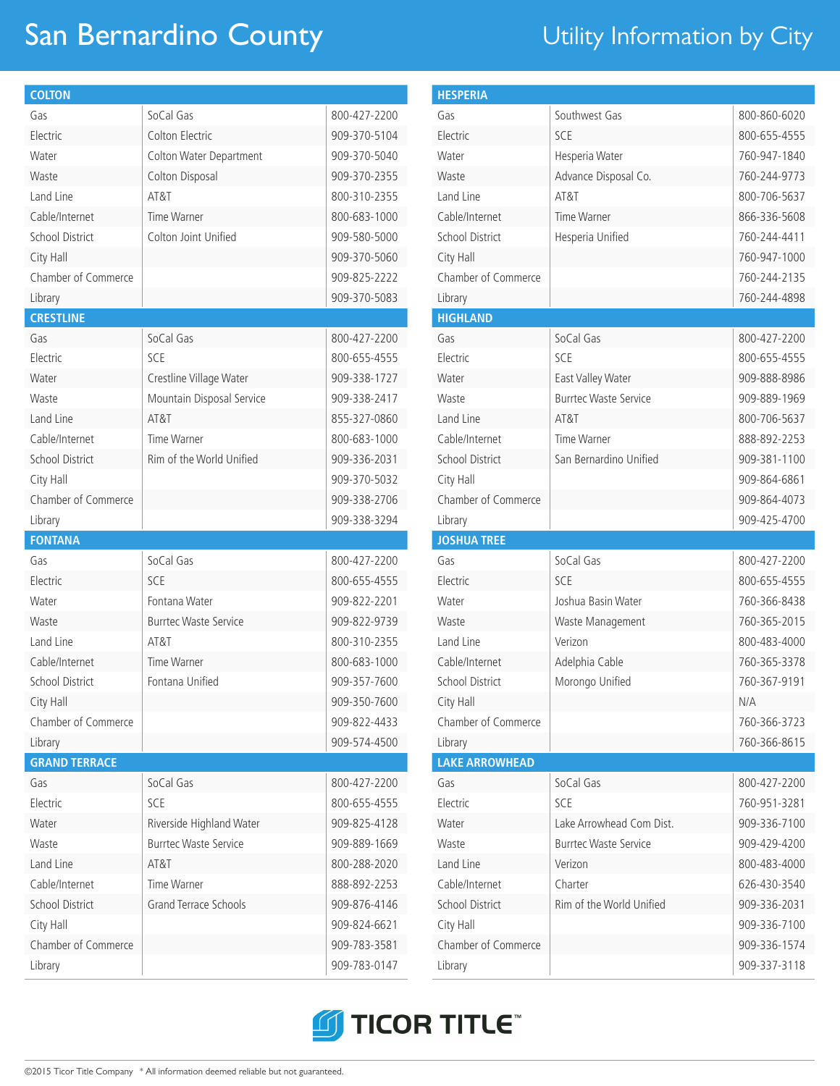## San Bernardino County **Example 20 Utility Information by City**

| <b>COLTON</b><br>SoCal Gas<br>Gas<br>800-427-2200<br>Colton Electric<br>Electric<br>909-370-5104<br>Water<br><b>Colton Water Department</b><br>909-370-5040<br>Waste<br>909-370-2355<br>Colton Disposal<br>Land Line<br>AT&T<br>800-310-2355 |
|----------------------------------------------------------------------------------------------------------------------------------------------------------------------------------------------------------------------------------------------|
|                                                                                                                                                                                                                                              |
|                                                                                                                                                                                                                                              |
|                                                                                                                                                                                                                                              |
|                                                                                                                                                                                                                                              |
|                                                                                                                                                                                                                                              |
|                                                                                                                                                                                                                                              |
| Cable/Internet<br><b>Time Warner</b><br>800-683-1000                                                                                                                                                                                         |
| School District<br>Colton Joint Unified<br>909-580-5000                                                                                                                                                                                      |
| City Hall<br>909-370-5060                                                                                                                                                                                                                    |
| Chamber of Commerce<br>909-825-2222                                                                                                                                                                                                          |
| Library<br>909-370-5083                                                                                                                                                                                                                      |
| <b>CRESTLINE</b>                                                                                                                                                                                                                             |
| Gas<br>SoCal Gas<br>800-427-2200                                                                                                                                                                                                             |
| Electric<br>SCE<br>800-655-4555                                                                                                                                                                                                              |
| Crestline Village Water<br>909-338-1727<br>Water                                                                                                                                                                                             |
| Mountain Disposal Service<br>Waste<br>909-338-2417                                                                                                                                                                                           |
| Land Line<br>AT&T<br>855-327-0860                                                                                                                                                                                                            |
| Time Warner<br>Cable/Internet<br>800-683-1000                                                                                                                                                                                                |
| <b>School District</b><br>Rim of the World Unified<br>909-336-2031                                                                                                                                                                           |
| City Hall<br>909-370-5032                                                                                                                                                                                                                    |
| Chamber of Commerce<br>909-338-2706                                                                                                                                                                                                          |
| Library<br>909-338-3294                                                                                                                                                                                                                      |
| <b>FONTANA</b>                                                                                                                                                                                                                               |
| SoCal Gas<br>Gas<br>800-427-2200                                                                                                                                                                                                             |
| Electric<br><b>SCE</b><br>800-655-4555                                                                                                                                                                                                       |
| Fontana Water<br>909-822-2201<br>Water                                                                                                                                                                                                       |
| Waste<br><b>Burrtec Waste Service</b><br>909-822-9739                                                                                                                                                                                        |
| Land Line<br>AT&T<br>800-310-2355                                                                                                                                                                                                            |
| Cable/Internet<br><b>Time Warner</b><br>800-683-1000                                                                                                                                                                                         |
|                                                                                                                                                                                                                                              |
| School District<br>Fontana Unified<br>909-357-7600                                                                                                                                                                                           |
| City Hall<br>909-350-7600                                                                                                                                                                                                                    |
| Chamber of Commerce<br>909-822-4433                                                                                                                                                                                                          |
| Library<br>909-574-4500                                                                                                                                                                                                                      |
| <b>GRAND TERRACE</b>                                                                                                                                                                                                                         |
| SoCal Gas<br>800-427-2200<br>Gas                                                                                                                                                                                                             |
| Electric<br>SCE<br>800-655-4555                                                                                                                                                                                                              |
| Water<br>909-825-4128                                                                                                                                                                                                                        |
| Riverside Highland Water<br><b>Burrtec Waste Service</b><br>Waste<br>909-889-1669                                                                                                                                                            |
| Land Line<br>800-288-2020<br>AT&T                                                                                                                                                                                                            |
| Cable/Internet<br>Time Warner<br>888-892-2253                                                                                                                                                                                                |
| School District<br><b>Grand Terrace Schools</b><br>909-876-4146                                                                                                                                                                              |
| 909-824-6621                                                                                                                                                                                                                                 |
| City Hall<br>Chamber of Commerce<br>909-783-3581                                                                                                                                                                                             |

| <b>HESPERIA</b>            |                              |              |
|----------------------------|------------------------------|--------------|
| Gas                        | Southwest Gas                | 800-860-6020 |
| Electric                   | SCE                          | 800-655-4555 |
| Water                      | Hesperia Water               | 760-947-1840 |
| Waste                      | Advance Disposal Co.         | 760-244-9773 |
| Land Line                  | AT&T                         | 800-706-5637 |
| Cable/Internet             | <b>Time Warner</b>           | 866-336-5608 |
| School District            | Hesperia Unified             | 760-244-4411 |
| City Hall                  |                              | 760-947-1000 |
| <b>Chamber of Commerce</b> |                              | 760-244-2135 |
| Library                    |                              | 760-244-4898 |
| <b>HIGHLAND</b>            |                              |              |
| Gas                        | SoCal Gas                    | 800-427-2200 |
| Electric                   | SCE                          | 800-655-4555 |
| Water                      | East Valley Water            | 909-888-8986 |
| Waste                      | <b>Burrtec Waste Service</b> | 909-889-1969 |
| Land Line                  | AT&T                         | 800-706-5637 |
| Cable/Internet             | <b>Time Warner</b>           | 888-892-2253 |
| School District            | San Bernardino Unified       | 909-381-1100 |
| City Hall                  |                              | 909-864-6861 |
| Chamber of Commerce        |                              | 909-864-4073 |
| Library                    |                              | 909-425-4700 |
|                            |                              |              |
| <b>JOSHUA TREE</b>         |                              |              |
| Gas                        | SoCal Gas                    | 800-427-2200 |
| Electric                   | SCE                          | 800-655-4555 |
| Water                      | Joshua Basin Water           | 760-366-8438 |
| Waste                      | Waste Management             | 760-365-2015 |
| Land Line                  | Verizon                      | 800-483-4000 |
| Cable/Internet             | Adelphia Cable               | 760-365-3378 |
| School District            | Morongo Unified              | 760-367-9191 |
| City Hall                  |                              | N/A          |
| Chamber of Commerce        |                              | 760-366-3723 |
| Library                    |                              | 760-366-8615 |
| <b>LAKE ARROWHEAD</b>      |                              |              |
| Gas                        | SoCal Gas                    | 800-427-2200 |
| Electric                   | SCE                          | 760-951-3281 |
| Water                      | Lake Arrowhead Com Dist.     | 909-336-7100 |
| Waste                      | <b>Burrtec Waste Service</b> | 909-429-4200 |
| Land Line                  | Verizon                      | 800-483-4000 |
| Cable/Internet             | Charter                      | 626-430-3540 |
| <b>School District</b>     | Rim of the World Unified     | 909-336-2031 |
| City Hall                  |                              | 909-336-7100 |
| Chamber of Commerce        |                              | 909-336-1574 |

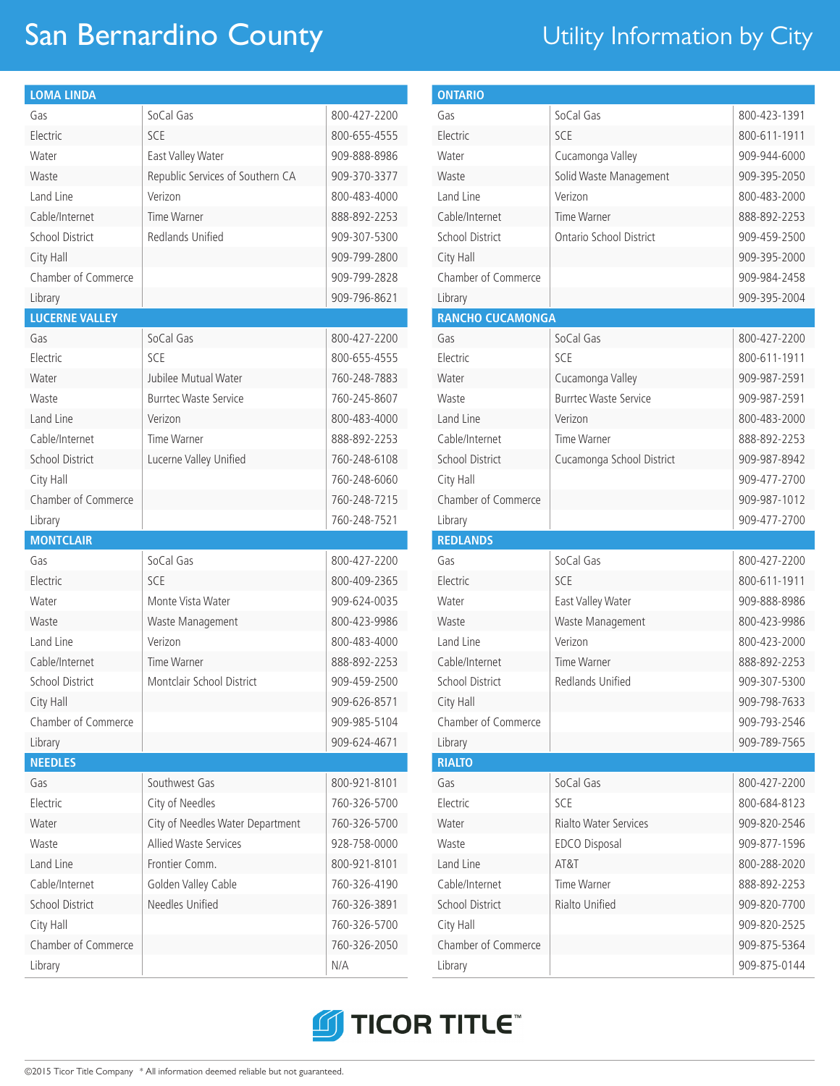## San Bernardino County **Example 20 Utility Information by City**

| <b>LOMA LINDA</b>      |                                  |              |
|------------------------|----------------------------------|--------------|
| Gas                    | SoCal Gas                        | 800-427-2200 |
| Electric               | SCE                              | 800-655-4555 |
| Water                  | East Valley Water                | 909-888-8986 |
| Waste                  | Republic Services of Southern CA | 909-370-3377 |
| Land Line              | Verizon                          | 800-483-4000 |
| Cable/Internet         | <b>Time Warner</b>               | 888-892-2253 |
| School District        | <b>Redlands Unified</b>          | 909-307-5300 |
| City Hall              |                                  | 909-799-2800 |
| Chamber of Commerce    |                                  | 909-799-2828 |
| Library                |                                  | 909-796-8621 |
| <b>LUCERNE VALLEY</b>  |                                  |              |
| Gas                    | SoCal Gas                        | 800-427-2200 |
| Electric               | SCF                              | 800-655-4555 |
| Water                  | Jubilee Mutual Water             | 760-248-7883 |
| Waste                  | <b>Burrtec Waste Service</b>     | 760-245-8607 |
| Land Line              | Verizon                          | 800-483-4000 |
| Cable/Internet         | Time Warner                      | 888-892-2253 |
| <b>School District</b> | Lucerne Valley Unified           | 760-248-6108 |
| City Hall              |                                  | 760-248-6060 |
| Chamber of Commerce    |                                  | 760-248-7215 |
| Library                |                                  | 760-248-7521 |
|                        |                                  |              |
| <b>MONTCLAIR</b>       |                                  |              |
| Gas                    | SoCal Gas                        | 800-427-2200 |
| Electric               | SCE                              | 800-409-2365 |
| Water                  | Monte Vista Water                | 909-624-0035 |
| Waste                  | Waste Management                 | 800-423-9986 |
| Land Line              | Verizon                          | 800-483-4000 |
| Cable/Internet         | <b>Time Warner</b>               | 888-892-2253 |
| School District        | Montclair School District        | 909-459-2500 |
| City Hall              |                                  | 909-626-8571 |
| Chamber of Commerce    |                                  | 909-985-5104 |
| Library                |                                  | 909-624-4671 |
| <b>NEEDLES</b>         |                                  |              |
| Gas                    | Southwest Gas                    | 800-921-8101 |
| Electric               | City of Needles                  | 760-326-5700 |
| Water                  | City of Needles Water Department | 760-326-5700 |
| Waste                  | <b>Allied Waste Services</b>     | 928-758-0000 |
| Land Line              | Frontier Comm.                   | 800-921-8101 |
| Cable/Internet         | Golden Valley Cable              | 760-326-4190 |
| School District        | Needles Unified                  | 760-326-3891 |
| City Hall              |                                  | 760-326-5700 |
| Chamber of Commerce    |                                  | 760-326-2050 |

| <b>ONTARIO</b>                   |                              |                              |
|----------------------------------|------------------------------|------------------------------|
| Gas                              | SoCal Gas                    | 800-423-1391                 |
| Electric                         | SCE                          | 800-611-1911                 |
| Water                            | Cucamonga Valley             | 909-944-6000                 |
| Waste                            | Solid Waste Management       | 909-395-2050                 |
| Land Line                        | Verizon                      | 800-483-2000                 |
| Cable/Internet                   | <b>Time Warner</b>           | 888-892-2253                 |
| <b>School District</b>           | Ontario School District      | 909-459-2500                 |
| City Hall                        |                              | 909-395-2000                 |
| <b>Chamber of Commerce</b>       |                              | 909-984-2458                 |
| Library                          |                              | 909-395-2004                 |
| <b>RANCHO CUCAMONGA</b>          |                              |                              |
| Gas                              | SoCal Gas                    | 800-427-2200                 |
| Electric                         | SCE                          | 800-611-1911                 |
| Water                            | Cucamonga Valley             | 909-987-2591                 |
| Waste                            | <b>Burrtec Waste Service</b> | 909-987-2591                 |
| Land Line                        | Verizon                      | 800-483-2000                 |
| Cable/Internet                   | Time Warner                  | 888-892-2253                 |
| <b>School District</b>           | Cucamonga School District    | 909-987-8942                 |
| City Hall                        |                              | 909-477-2700                 |
| Chamber of Commerce              |                              | 909-987-1012                 |
|                                  |                              | 909-477-2700                 |
|                                  |                              |                              |
| Library<br><b>REDLANDS</b>       |                              |                              |
| Gas                              | SoCal Gas                    | 800-427-2200                 |
| Electric                         | SCE                          | 800-611-1911                 |
| Water                            | East Valley Water            | 909-888-8986                 |
| Waste                            | Waste Management             | 800-423-9986                 |
| Land Line                        | Verizon                      | 800-423-2000                 |
| Cable/Internet                   | <b>Time Warner</b>           | 888-892-2253                 |
| <b>School District</b>           | <b>Redlands Unified</b>      | 909-307-5300                 |
|                                  |                              | 909-798-7633                 |
| City Hall<br>Chamber of Commerce |                              | 909-793-2546                 |
|                                  |                              | 909-789-7565                 |
| Library                          |                              |                              |
| <b>RIALTO</b><br>Gas             | SoCal Gas                    | 800-427-2200                 |
| Electric                         | SCE                          | 800-684-8123                 |
| Water                            | <b>Rialto Water Services</b> |                              |
| Waste                            |                              | 909-820-2546<br>909-877-1596 |
| Land Line                        | <b>EDCO Disposal</b><br>AT&T | 800-288-2020                 |
| Cable/Internet                   | <b>Time Warner</b>           | 888-892-2253                 |
| School District                  | Rialto Unified               | 909-820-7700                 |
|                                  |                              | 909-820-2525                 |
| City Hall<br>Chamber of Commerce |                              | 909-875-5364                 |